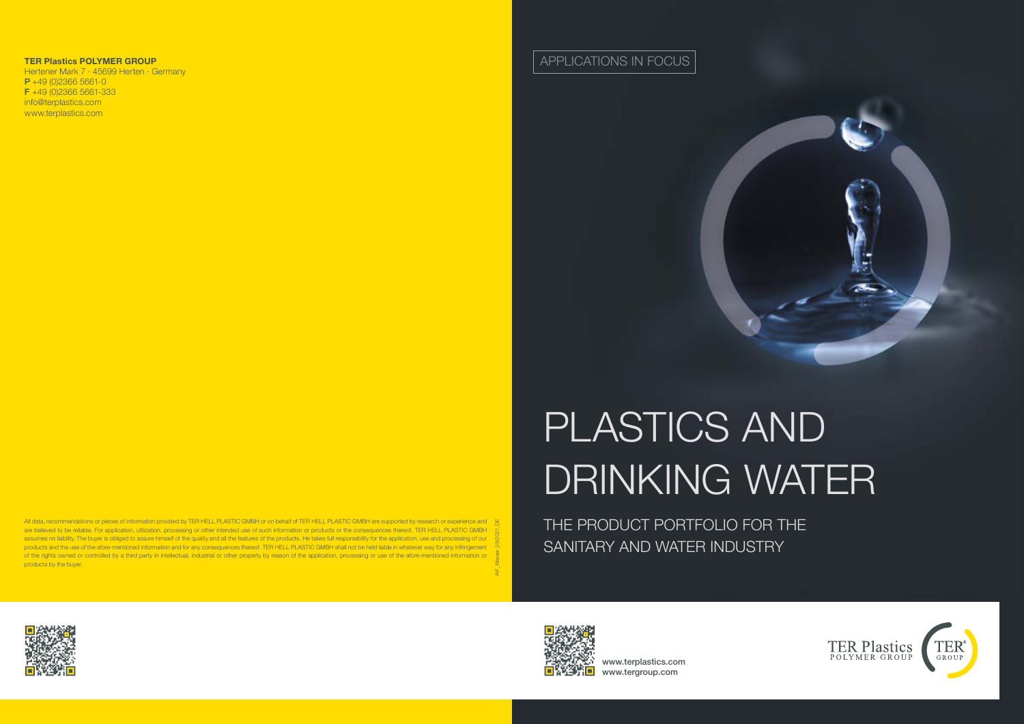www.terplastics.com www.tergroup.com







# PLASTICS AND DRINKING WATER

THE PRODUCT PORTFOLIO FOR THE SANITARY AND WATER INDUSTRY

APPLICATIONS IN FOCUS



AIF\_Wasser\_09/2021\_DE All data, recommendations or pieces of information provided by TER HELL PLASTIC GMBH or on behalf of TER HELL PLASTIC GMBH are supported by research or experience and are believed to be reliable. For application, utilization, processing or other intended use of such information or products or the consequences thereof, TER HELL PLASTIC GMBH assumes no liability. The buyer is obliged to assure himself of the quality and all the features of the products. He takes full responsibility for the application, use and processing of our products and the use of the afore-mentioned information and for any consequences thereof. TER HELL PLASTIC GMBH shall not be held liable in whatever way for any infringement of the rights owned or controlled by a third party in intellectual, industrial or other property by reason of the application, processing or use of the afore-mentioned information or products by the buyer.





#### **TER Plastics POLYMER GROUP**

Hertener Mark 7 · 45699 Herten · Germany  $P + 49 (0)2366 5661 - 0$ F +49 (0)2366 5661-333 info@terplastics.com www.terplastics.com